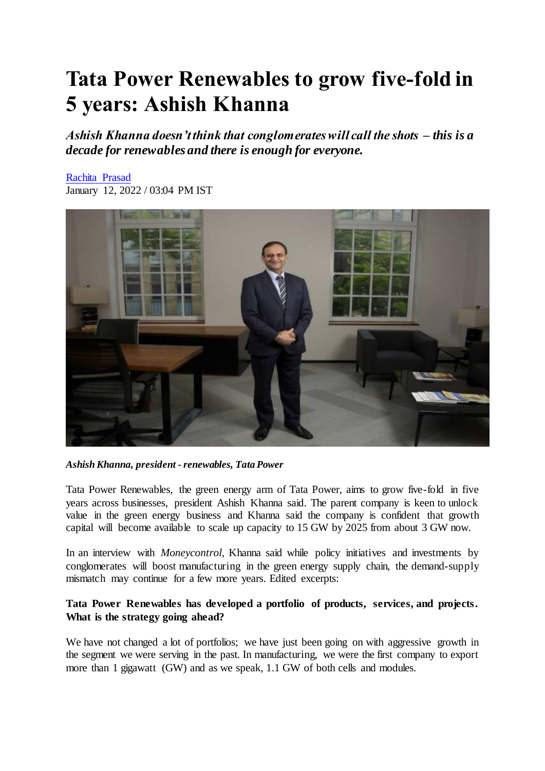# **Tata Power Renewables to grow five-fold in 5 years: Ashish Khanna**

*Ashish Khanna doesn't think that conglomerates will call the shots – this is a decade for renewables and there is enough for everyone.*

# [Rachita Prasad](https://www.moneycontrol.com/author/rachita-prasad-20131/)

January 12, 2022 / 03:04 PM IST



*Ashish Khanna, president - renewables, Tata Power*

Tata Power Renewables, the green energy arm of Tata Power, aims to grow five-fold in five years across businesses, president Ashish Khanna said. The parent company is keen to unlock value in the green energy business and Khanna said the company is confident that growth capital will become available to scale up capacity to 15 GW by 2025 from about 3 GW now.

In an interview with *Moneycontrol*, Khanna said while policy initiatives and investments by conglomerates will boost manufacturing in the green energy supply chain, the demand-supply mismatch may continue for a few more years. Edited excerpts:

# **Tata Power Renewables has developed a portfolio of products, services, and projects. What is the strategy going ahead?**

We have not changed a lot of portfolios; we have just been going on with aggressive growth in the segment we were serving in the past. In manufacturing, we were the first company to export more than 1 gigawatt (GW) and as we speak, 1.1 GW of both cells and modules.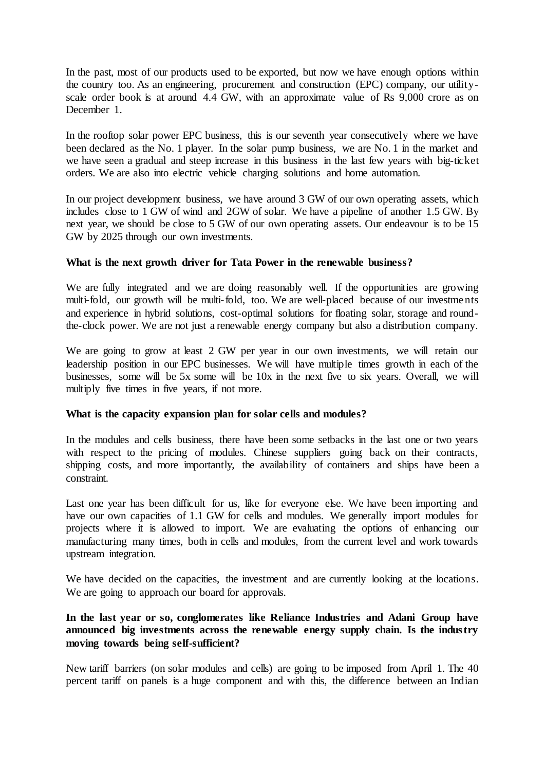In the past, most of our products used to be exported, but now we have enough options within the country too. As an engineering, procurement and construction (EPC) company, our utilityscale order book is at around 4.4 GW, with an approximate value of Rs 9,000 crore as on December 1.

In the rooftop solar power EPC business, this is our seventh year consecutively where we have been declared as the No. 1 player. In the solar pump business, we are No. 1 in the market and we have seen a gradual and steep increase in this business in the last few years with big-ticket orders. We are also into electric vehicle charging solutions and home automation.

In our project development business, we have around 3 GW of our own operating assets, which includes close to 1 GW of wind and 2GW of solar. We have a pipeline of another 1.5 GW. By next year, we should be close to 5 GW of our own operating assets. Our endeavour is to be 15 GW by 2025 through our own investments.

## **What is the next growth driver for Tata Power in the renewable business?**

We are fully integrated and we are doing reasonably well. If the opportunities are growing multi-fold, our growth will be multi-fold, too. We are well-placed because of our investments and experience in hybrid solutions, cost-optimal solutions for floating solar, storage and roundthe-clock power. We are not just a renewable energy company but also a distribution company.

We are going to grow at least 2 GW per year in our own investments, we will retain our leadership position in our EPC businesses. We will have multiple times growth in each of the businesses, some will be 5x some will be 10x in the next five to six years. Overall, we will multiply five times in five years, if not more.

## **What is the capacity expansion plan for solar cells and modules?**

In the modules and cells business, there have been some setbacks in the last one or two years with respect to the pricing of modules. Chinese suppliers going back on their contracts, shipping costs, and more importantly, the availability of containers and ships have been a constraint.

Last one year has been difficult for us, like for everyone else. We have been importing and have our own capacities of 1.1 GW for cells and modules. We generally import modules for projects where it is allowed to import. We are evaluating the options of enhancing our manufacturing many times, both in cells and modules, from the current level and work towards upstream integration.

We have decided on the capacities, the investment and are currently looking at the locations. We are going to approach our board for approvals.

## **In the last year or so, conglomerates like Reliance Industries and Adani Group have announced big investments across the renewable energy supply chain. Is the industry moving towards being self-sufficient?**

New tariff barriers (on solar modules and cells) are going to be imposed from April 1. The 40 percent tariff on panels is a huge component and with this, the difference between an Indian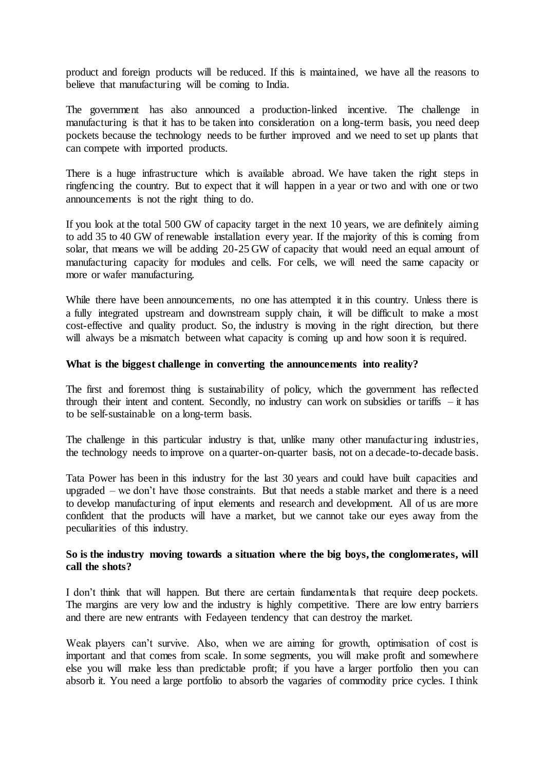product and foreign products will be reduced. If this is maintained, we have all the reasons to believe that manufacturing will be coming to India.

The government has also announced a production-linked incentive. The challenge in manufacturing is that it has to be taken into consideration on a long-term basis, you need deep pockets because the technology needs to be further improved and we need to set up plants that can compete with imported products.

There is a huge infrastructure which is available abroad. We have taken the right steps in ringfencing the country. But to expect that it will happen in a year or two and with one or two announcements is not the right thing to do.

If you look at the total 500 GW of capacity target in the next 10 years, we are definitely aiming to add 35 to 40 GW of renewable installation every year. If the majority of this is coming from solar, that means we will be adding 20-25 GW of capacity that would need an equal amount of manufacturing capacity for modules and cells. For cells, we will need the same capacity or more or wafer manufacturing.

While there have been announcements, no one has attempted it in this country. Unless there is a fully integrated upstream and downstream supply chain, it will be difficult to make a most cost-effective and quality product. So, the industry is moving in the right direction, but there will always be a mismatch between what capacity is coming up and how soon it is required.

#### **What is the biggest challenge in converting the announcements into reality?**

The first and foremost thing is sustainability of policy, which the government has reflected through their intent and content. Secondly, no industry can work on subsidies or tariffs  $-$  it has to be self-sustainable on a long-term basis.

The challenge in this particular industry is that, unlike many other manufacturing industries, the technology needs to improve on a quarter-on-quarter basis, not on a decade-to-decade basis.

Tata Power has been in this industry for the last 30 years and could have built capacities and upgraded – we don't have those constraints. But that needs a stable market and there is a need to develop manufacturing of input elements and research and development. All of us are more confident that the products will have a market, but we cannot take our eyes away from the peculiarities of this industry.

#### **So is the industry moving towards a situation where the big boys, the conglomerates, will call the shots?**

I don't think that will happen. But there are certain fundamentals that require deep pockets. The margins are very low and the industry is highly competitive. There are low entry barriers and there are new entrants with Fedayeen tendency that can destroy the market.

Weak players can't survive. Also, when we are aiming for growth, optimisation of cost is important and that comes from scale. In some segments, you will make profit and somewhere else you will make less than predictable profit; if you have a larger portfolio then you can absorb it. You need a large portfolio to absorb the vagaries of commodity price cycles. I think